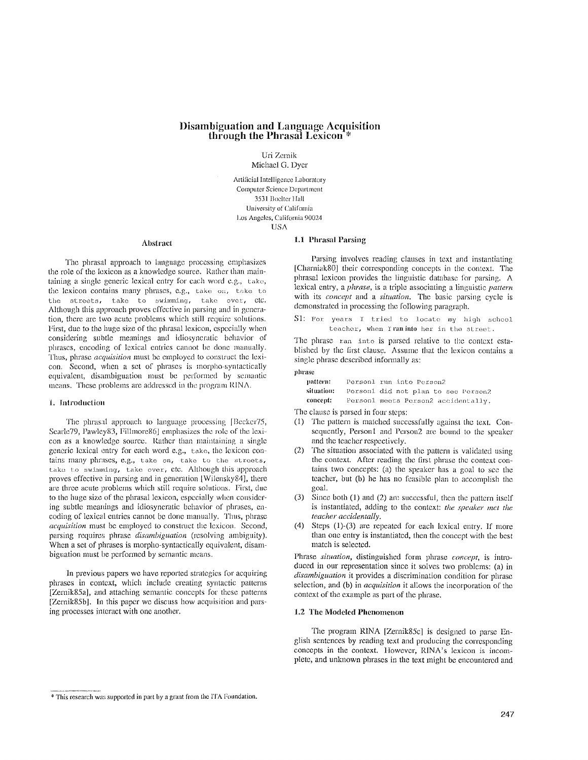# **l)isambiguation and Language Acquisition through the Phrasal Lexicon \***

Uri Zcrnik Michael G. Dyer

Artificial Intelligence Laboratory Computer Science Department 3531 Boelter Hall University of California Los Angeles, California 90024 **USA** 

#### **Abst,'act**

The phrasal approach to language processing emphasizes the role of the lexicon as a knowledge source. Rather than maintaining a single generic lexical entry for each word e.g., take, the lexicon contains many phrases, e.g., take on, take to the streets, take to swimming, take over, etc. Although this approach proves effective in parsing and in generation, there are two acute problems which still require solutions. First, due to the huge size of the phrasal lexicon, cspeciaIly when considering subtle meanings and idiosyncratic behavior of phrases, encoding of lexical entries cannot be done manually. Thus, phrase *acquisition* must be employed to construct the lexicon. Second, when a set of phrases is morpho-syntactically equivalent, disambiguation must be performed by semantic means. These problems are addressed in the program RINA.

#### 1. Introduction

The phras:d approach to language processing *[Beckcr75,*  Searle79, Pawley83, Fillmore861 emphasizes the role of the lexicon as a knowledge source. Rather than maintaining a single generic lexical entry for each word e.g., take, the lexicon contains many phrases, e.g., take on, take to the streets, take to swimming, take over, etc. Although this approach proves effective in parsing and in generation [Wilensky84], there are three acute problems which still require solutions. First, due to the huge size of the phrasal lexicon, especially when considering subtle meanings and idiosyncratic behavior of phrases, encoding of lexical entries cannot be done manually. Thus, phrase *acquisition* must be employed to construct the lexicon. Second, parsing requires phrase *disambiguation* (resolving ambiguity). When a set of phrases is morpho-syntactically equivalent, disambiguation must be performed by semantic means.

In previous papers we have reported strategies for acquiring phrases in context, which include creating syntactic patterns [Zernik85a], and attaching semantic concepts for these patterns [Zernik85b]. In this paper we discuss how acquisition and parsing processes interact with one another.

# 1.1 Phrasal Parsing

Parsing involves reading clauses in text and instantiating [Charniak80] their corresponding concepts in the context. The phrasal lexicon provides the linguistic database for parsing. A lexical entry, a *phrase,* is a triple associating a linguistic *pattern*  with its *concept and a situation.* The basic parsing cycle is demonstrated in processing the following paragraph.

S1: For years I tried to locate my high school teacher, when I ran into her in the street.

The phrase ran into is parsed relative to the context established by the first clause. Assume that the lexicon contains a single phrase described informally as:

phrase

| pattern:   | Person1 run into Person2            |
|------------|-------------------------------------|
| situation: | Personl did not plan to see Person? |
| concept:   | Personl meets Person2 accidentally. |

The clause is parsed in four steps:

- $(1)$  The pattern is matched successfully against the text. Con-. sequently, Person1 and Person2 are bound to the speaker and the teacher respectively.
- (2) The situation associated with the pattern is validated using the context. After reading the first phrase the context contains two concepts:  $(a)$  the speaker has a goal to see the teacher, but (b) he has no feasible plan to accomplish the goal.
- (3) Since both (1) and (2) are successful, then the pattern itself is instantiated, adding to the context: *the speaker met the teacher accidentally.*
- (4) Steps (1)-(3) are repeated for each lexical entry. If more than one entry is instantiated, then the concept with the best match is selected.

Phrase *situation*, distinguished form phrase *concept*, is introduced in our representation since it solves two problems: **(a)** in disambiguation it provides a discrimination condition for phrase selection, and (b) in *acquisition* it allows the incorporation of the context of the example as part of the phrase.

# 11.2 The Modeled Phenomenon

The program RINA [Zernik85c] is designed to parse English sentences by reading text and producing the corresponding concepts in the context. However, RINA's lexicon is incomplete, and unknown phrases in the text might be encountered and

<sup>\*</sup> This research was supported in part by a grant from the ITA Foundation.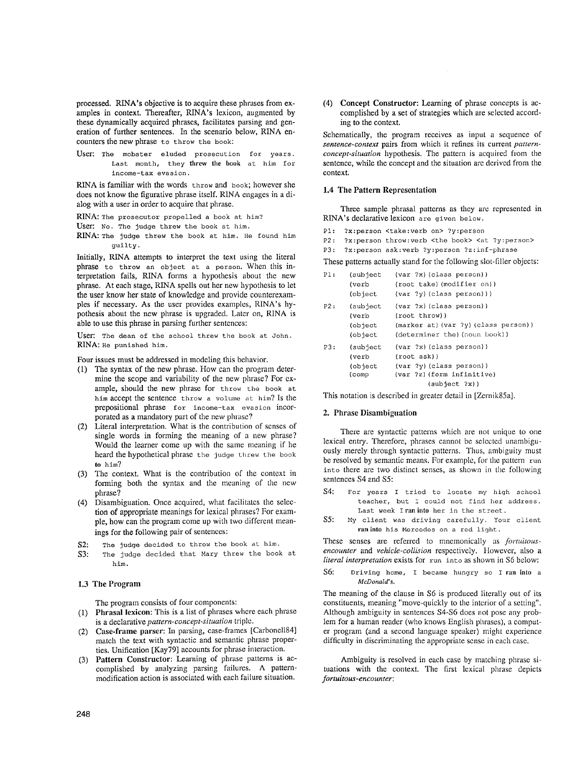processed. RINA's objective is to acquire these phrases from examples in context. Thereafter, RINA's lexicon, augmented by these dynamically acquired phrases, facilitates parsing and generation of further sentences. In the scenario below, RINA encounters the new phrase to throw the book:

User: The mobster eluded prosecution for years. Last month, they threw the book at him for income-tax evasion.

RINA is familiar with the words throw and book; however she does not know the figurative phrase itself. RINA engages in a dialog with a user in order to acquire that phrase.

RINA: The prosecutor propelled a book at him?

User: No. The Judge threw the book at him.

RINA: The Judge threw the book at him. He found him guilty.

Initially, RINA attempts to interpret the text using the literal phrase to throw an object at a person. When this interpretation fails, RINA forms a hypothesis about the new phrase. At each stage, RINA spells out her new hypothesis to let the user know her state of knowledge and provide counterexamples if necessary. As the user provides examples, RINA's hypothesis about the new phrase is upgraded. Later on, RINA is able to use this phrase in parsing further sentences:

User: The dean of the school threw the book at John. RINA: He punished him.

Four issues must be addressed in modeling this behavior.

- (1) The syntax of the new phrase. How can the program determine the scope and variability of the new phrase? For example, should the new phrase for throw the book at him accept the sentence throw a volume at him? Is the prepositional phrase for income-tax evasion incorporated as a mandatory part of the new phrase?
- (2) Literal interpretation. What is the contribution of senses of single words in forming the meaning of a new phrase? Would the learner come up with the same meaning if he heard the hypothetical phrase the judge threw the book to him?
- (3) The context. What is the contribution of the context in forming both the syntax and the meaning of the new phrase?
- (4) Disambiguation. Once acquired, what facilitates the selection of appropriate meanings for lexical phrases? For example, how can the program come up with two different meanings for the following pair of sentences:
- S2: The Judge decided to throw the book at him.
- S3: The judge decided that Mary threw the book at him.

# 1.3 The Program

The program consists of four components:

- (1) Phrasal lexicon: This is a list of phrases where each phrase is a declarative *pattern-concept-situation* triple.
- (2) Case-frame parser: In parsing, case-frames [Carbonel184] match the text with syntactic and semantic phrase properties. Unification [Kay79] accounts for phrase interaction.
- (3) Pattern Constructor: Learning of phrase patterns is accomplished by analyzing parsing failures. A patternmodification action is associated with each failure situation.

(4) Concept Constructor: Learning of phrase concepts is accomplished by a set of strategies which are selected according to the context.

Schematically, the program receives as input a sequence of *sentence-context* pairs from which it refines its current *patternconcept-situation* hypothesis. The pattern is acquired from the sentence, while the concept and the situation are derived from the context.

## 1.4 The Pattern Representation

Three sample phrasal patterns as they are represented in RINA's declarative lexicon are given below.

- Pl: ?x:person <take:verb on> ?y:person
- P2: ?x:person throw:verb <the book> <at ?y:person>
- P3: ?x:person ask:verb ?y:person ?z:inf-phrase

These patterns actually stand for the following slot-filler objects:

| PI: | (subject<br>(verb                               | (var ?x) (class person))<br>(root take) (modifier on))                                                                            |
|-----|-------------------------------------------------|-----------------------------------------------------------------------------------------------------------------------------------|
|     | object)                                         | $\{var$ ?y) $\{class person\})$                                                                                                   |
| P2: | (subject<br>(verb<br>(object<br>object)         | (var ?x) (class person))<br>(root throw))<br>(marker at) (var ?y) (class person))<br>(determiner the) (noun book))                |
| P3: | (subject<br>(verb<br>(object<br>$\text{(comp)}$ | (var ?x) (class person))<br>$(root ask)$ )<br>(var ?v) (class person))<br>(var ?z) (form infinitive)<br>$(sub\textrm{let } ?x)$ ) |

This notation is described in greater detail in [Zernik85a].

#### **2. Phrase Disambiguation**

There are syntactic patterns which are not unique to one lexical entry. Therefore, phrases cannot be selected unambiguously merely through syntactic patterns. Thus, ambiguity must be resolved by semantic means. For example, for the pattern run into there are two distinct senses, as shown in the following sentences S4 and S5:

- S4: For years I tried to locate my high school teacher, but I could not find her address. Last week Iranint0 her in the street.
- S5: My client was driving carefully. Your client ran into his Mercedes on a red light.

These senses are referred to mnemonically as *fortuitousencounter* and *vehicle-collision* respectively, tlowever, also a *literal interpretation* exists for run into as shown in \$6 below:

S6: Driving home, I became hungry so I ran into a *McDonald's.* 

The meaning of the clause in S6 is produced literally out of its constituents, meaning "move-quickly to the interior of a setting". Although ambiguity in sentences S4-S6 does not pose any problem for a human reader (who knows English phrases), a computer program (and a second language speaker) might experience difficulty in discriminating the appropriate sense in each case.

Ambiguity is resolved in each case by matching phrase situations with the context. The first lcxical phrase depicts *fortuitous-encounter:*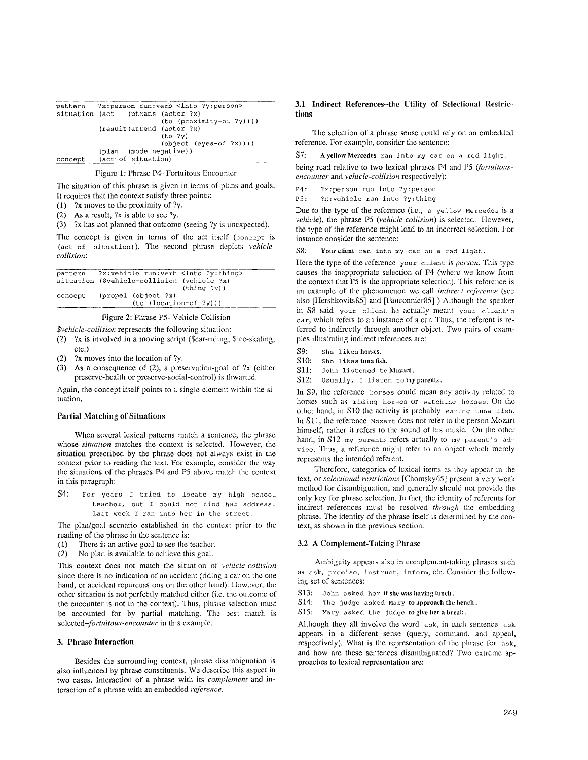|         |                                   | pattern ?x:person run:verb <into ?y:person=""></into> |
|---------|-----------------------------------|-------------------------------------------------------|
|         | situation (act (ptrans (actor ?x) |                                                       |
|         |                                   | $(to (proximity-of ?y))$ )                            |
|         | (result(attend (actor ?x)         |                                                       |
|         |                                   | (to ?v)                                               |
|         |                                   | $(object (eves-off ?x)))$                             |
|         | (plan (mode negative))            |                                                       |
| concept | (act-of situation)                |                                                       |

## Figure 1: Phrase P4- Fortuitous Encounter

The situation of this phrase is given in terms of plans and goals. It requires that the context satisfy three points:

- (1) ?x moves to the proximity of ?y.
- (2) As a result, ?x is able to see ?y.
- (3)  $2x$  has not planned that outcome (seeing  $2y$  is unexpected).

The concept is given in terms of the act itself (concept is (act-of situation)). The second phrase depicts *vekiclecollision:* 

|         | pattern ?x:vehicle run:verb <into ?y:thing=""></into> |
|---------|-------------------------------------------------------|
|         | situation (Svehicle-collision (vehicle ?x)            |
|         | (thina 2v)                                            |
| concept | (propel (object ?x)                                   |
|         | $(to (location-of ?y)))$                              |
|         |                                                       |

# Figure 2: Phrase P5- Vehicle Collision

*\$vehicle-collision* represents the following situation:

- (2) ?x is involved in a moving script (Scar-riding, \$ice-skating, etc.)
- (2) ?x moves into the location of ?y.
- (3) As a consequence of (2), a preservation-goal of  $\alpha$  (cither preserve-health or preserve-social-control) is thwarted.

Again, the concept itself points to a single element within the situation.

#### **Partial Matching of Situations**

When several lexical patterns match a sentence, the phrase whose *situation* matches the context is selected. However, the situation prescribed by the phrase does not always exist in the context prior **to** reading the text. For example, consider the way the situations of the phrases P4 and P5 above match the context in this paragraph:

S4: For years I tried to locate my high school teacher, but I could not find her address. Last week I ran into her in the street.

The plan/goal scenario established in the context prior to the reading of the phrase in the sentence is:

- (1) There is an active goal to see the teacher.
- (2) No plan is available to achieve this goal.

This context does not match the situation of *vehicle-collision* since there is no indication of an accident (riding a car on the one hand, or accident repurcussions on the other hand). However, the other situation is not perfectly matched either (i.e. the outcome of the encounter is not in the context). Thus, phrase selection must be accounted for by partial matching. The best match is *selected-fortuitous-encounter* in this example.

#### 3. Phrase **Interaction**

Besides the surrounding context, phrase disambiguation is also influenced by phrase constituents. We describe this aspect in two cases. Interaction of a phrase with its *cornplement* and interaction of a phrase with an embedded *reference.* 

## **3.1 Indirect References-the Utility of Selectional Restrictions**

The selection of a phrase sense could rely on an embedded reference. For example, consider the sentence:

 $S7:$  A yellow Mercedes ran into my car on a red light.

being read relative to two lexical phrases P4 and P5 *(fortuitousencounter* and *vehicle-collision* respectively):

P4: ?x:person run into ?y:person

PS: ?x:vehicle run into ?y:thing

Due to the type of the reference (i.e., a yellow Mercedes is a *vehicle*), the phrase P5 (*vehicle collision*) is selected. However, the type of the reference might lead to an incorrect selection. For instance consider the sentence:

S8: Your client ran into my car on a red light.

Here the type of the reference your client is *person*. This type causes the inappropriate selection of P4 (where we know from the context that P5 is the appropriate selection). This reference is an example of the phenomenon we call *indirect reference* (see also [Hershkovits85] and [Fanconnier85] ) Although the speaker in S8 said your client he actually meant your client's car, which refers to an instance of a car. Thus, the referent is referred to indirectly through another object. Two pairs of examples illustrating indirect references are:

S9: She likes horses.

- S10: She likes tuna fish.
- S11: John listened to Mozart.
- S12: Usually, I listen to my parents.

In S9, the reference horses could mean any activity related to horses such as riding horses or watching horses. On the other hand, in S10 the activity is probably eating tuna fish. In S11, the reference Mozart does not refer to the person Mozart himself, rather it refers to the sound of his music. On the other hand, in S12 my parents refers actually to my parent's  $ad$ vice. Thus, a reference might refer to an object which merely represents the intended referent.

Therefore, categories of lexical items as they appear in the text, or *selectional restrictions* [Chomsky65] present a very weak method for disambiguation, and generally should not provide the only key for phrase selection, in fact, the identity of referents for indirect references inust be resolved *through* the embedding phrase. The identity of the phrase itself is determined by the context, as shown in the previous section.

## 3.2 A Complement-Taking Phrase

Ambiguity appears also in complement-taking phrases such as ask, promise, instruct, inform, etc. Consider the following set of sentences:

- S13: John asked her if she was having lunch.
- S14: The judge asked Mary to approach the bench .

S15: Mary asked the judge to give her a break .

Although they all involve the word ask, in each sentence ask appears in a different sense (query, command, and appeal, respectively). What is the representation of the phrase for ask, and how are these sentences disambiguated? Two extreme approaches to lexical representation are: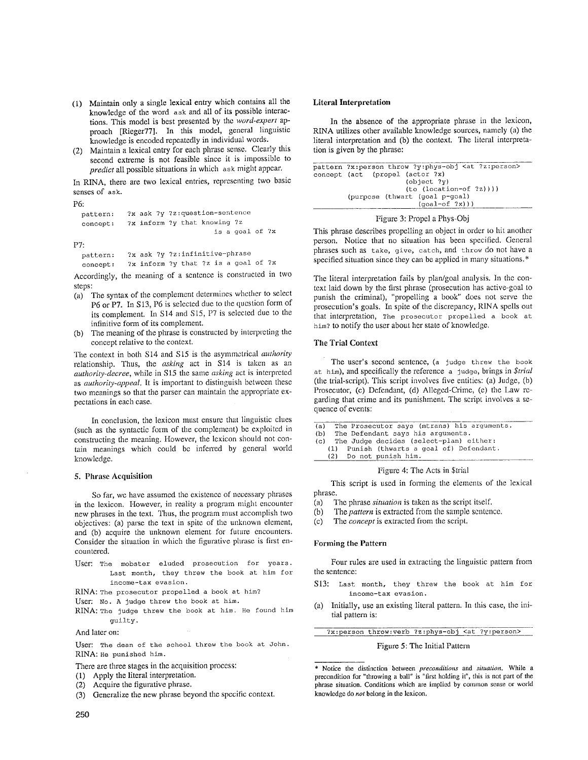- (1) Maintain only a single lexical entry which contains all **the**  knowledge of the word ask and all of its possible interactions. This model is best presented by the *word-expert* approach [Rieger77]. In this model, general linguistic knowledge is encoded repeatedly in individual words.
- (2) Maintain a lexical entry for each phrase sense. Clearly this second extreme is not feasible since it is impossible to *predict* all possible situations in which ask might appear.

In RINA, there are two lexical entries, representing two basic senses of ask.

#### P6:

```
pattern : 
concept : 
            ?X ask ?y ?z:question-sentence 
            ?x inform ?y that knowing ?z 
                                   is a goal of ?x
```
P7:

```
pattern: ?x ask ?y ?z:infinitive-phrase 
concept: ?x inform ?y that ?z is a goal of ?x
```
Accordingly, the meaning of a sentence is constructed in two steps:

- (a) The syntax of the complement determines whether to select P6 or PT. In S13, P6 is selected due to the question form of its complement. In S14 and S15, P7 is selected due to the infinitive form of its complement.
- (b) The meaning of the phrase is constructed by interpreting the concept relative to the context.

The context in both \$14 and S15 is the asymmetrical *authority*  relationship. Thus, the *asking* act in S14 is taken as an *authority-decree,* while in S15 the same *asking* act is interpreted as *authority-appeal.* It is important to distinguish between these two meanings so that the parser can maintain the appropriate expectations in each case.

In conclusion, the lexicon must ensure that linguistic clues (such as the syntactic form of the complement) be exploited in constructing the meaning. However, the lexicon should not contain meanings which could be inferred by general world knowledge.

## 5. Phrase Acquisition

So far, we have assumed the existence of necessary phrases in the lexicon. However, in reality a program might encounter new phrases in the text. Thus, the program must accomplish two objectives: (a) parse the text in spite of the unknown element, and (b) acquire the unknown element for future encounters. Consider the situation in which the figurative phrase is first encountered.

User: The mobster eluded prosecution for years. Last month, they threw the book at him for income-tax evasion.

RINA: The prosecutor propelled a book at him?

- User: No. A judge threw the book at him.
- RINA: The judge threw the book at him. He found him guilty.

#### And later on:

User: The dean of the school threw the book at John. RINA: He punished him.

There are three stages in the acquisition process:

- (1) Apply the literal interpretation.
- (2) Acquire the figurative phrase.
- (3) Generalize the new phrase beyond the specific context.

#### **Literal Interpretation**

In the absence of the appropriate phrase in the lexicon, RINA utilizes other available knowledge sources, namely (a) the literal interpretation and (b) the context. The literal interpretation is given by the phrase:

```
pattern ?x:person throw ?y:phys-obj <at ?z:person> 
concept (act (propel (actor ?x) 
                       (object ?y) 
                       (to (location-of ?z)))) 
        (purpose (thwart (goal p-goal) 
                          (goal-of?x))
```
#### Figure 3: Propel a Phys-Obj

This phrase describes propelling an object in order to hit another person. Notice that no situation has been specified. General phrases such as take, give, catch, and throw do not have a specified situation since they can be applied in many situations.\*

The literal interpretation fails by plan/goal analysis. In the context laid down by the first phrase (prosecution has active-goal to punish the criminal), "propelling a book" does not serve the prosecution's goals. In spite of the discrepancy, RINA spells out that interpretation, The prosecutor propelled a book at him? to notify the user about her state of knowledge.

## The Trial Context

The user's second sentence, (a Judge threw the book at. him), and specifically the reference a judge, brings in *\$trial*  (the trial-script). This script involves five entities: (a) Judge, (b) Prosecutor, (c) Defendant, (d) Alleged-Crime, (e) the Law regarding that crime and its punishment. The script involves a sequence of events:

- (a) The Prosecutor says (mtrans) his arguments.<br>(b) The Defendant says his arguments.
- The Defendant says his arguments.
- (c) The Judge decides (select-plan) either:
- (i) Punish (thwarts a goal of) Defendant. (2) Do not punish him.
	-

#### Figure 4: The Acts in \$trial

This script is used in forming the elements of the lexical phrase.

- (a) The phrase *situation* is taken as the script itself.
- (b) The *pattern* is extracted from the sample sentence.
- (c) The *concept* is extracted from the script.

## Forming the **Pattern**

Four rules are used in extracting the linguistic pattern from the sentence:

- S13: Last month, they threw the book at him for income-tax evasion.
- (a) Initially, use an existing literal pattern. In this case, the initial pattern is:

?x:person throw:verb ?z:phys-obj <at ?y:person>

#### Figure 5: The Initial Pattern

\* Notice tile distinction between *preconditions* and *situation.* While a precondition for "throwing a ball" is "first holding it", this is not part of **the**  phrase situation. Conditions which are implied by common sense or world knowledge do *not* belong in the lexicon.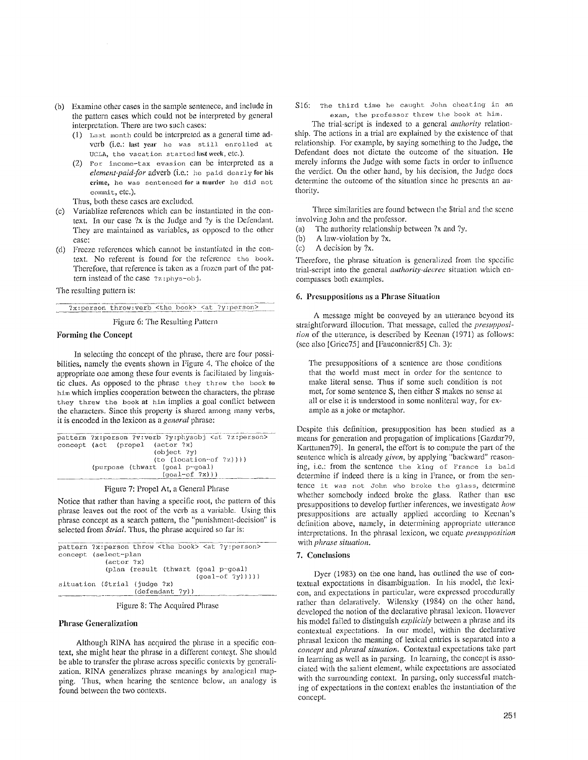- (b) Examine other cases in the sample sentenece, and include in the pattern cases which could not be interpreted by general interpretation. There are two such cases:
	- (1) *Last* month could be interpreted as a general time adverb (i.e.: last year he was still enrolled at UCLA, the vacation startedlast week, etc.).
	- (2) For income-tax evasion can be interpreted as a *element-paid-for* adverb (i.e.: he paid dearly for his crime, he was sentenced for a murder he did not commit, etc.).

Thus, both these cases are excluded.

- (c) Variablize references which can be instantiated in the context. In our case ?x is the Judge and ?y is the Defendant. They are maintained as variables, as opposed to the other case:
- (d) Freeze references which cannot be instantiated in the context. No referent is fonnd for the reference the book. Therefore, that reference is taken as a frozen part of the pattern instead of the case ?z :phys-obj.

The resulting pattern is:

?x:person throw:verb <the book> <at ?y:person>

Figure 6: The Resulting Pattern

## Forming the Concept

In selecting the concept of the phrase, there arc four possibilities, namely the events shown in Figure 4. The choice of the appropriate one among these four events is facilitated by linguistic clues. AS opposed to the phrase they threw the book to him which implies cooperation between the characters, the phrase they threw the book at him implies a goal conflict between the characters. Since this property is shared among many verbs, it is encoded in the lexicon as a *general* phrase:

| pattern ?x:person ?v:verb ?y:physobj <at ?z:person=""></at> |  |
|-------------------------------------------------------------|--|
| concept (act (propel (actor ?x)                             |  |
| $\text{(object ?y)}$                                        |  |
| $(to (location-of ?z)))$                                    |  |
| (purpose (thwart (goal p-goal)                              |  |
| $(qoal-of ?x))$                                             |  |
|                                                             |  |

Figure 7: Propel At, a General Phrase

Notice that rather than having a specific root, the pattern of this phrase leaves ont the root of the verb as a variable. Using this phrase concept as a search pattern, the "punishment-decision" is selected from *\$trial*. Thus, the phrase acquired so far is:

| pattern ?x:person throw <the book=""> <at ?y:person=""><br/>concept (select-plan</at></the> |
|---------------------------------------------------------------------------------------------|
| $(\text{actor } ?x)$<br>(plan (result (thwart (goal p-goal)<br>$\{qoal-of ?v)\})$           |
| situation (\$trial (judge ?x)<br>(defendant ?y))                                            |

Figure 8: The Acquired Phrase

## Phrase Generalization

Although RINA has acquired the phrase in a specific context, she might hear the phrase in a different context. She should be able to transfer the phrase across specific contexts by generalization. RINA generalizes phrase meanings by analogical mapping. Thus, when hearing the sentence below, an analogy is found between the two contexts.

SI6: The third time he caught John cheating in an exam, the professor threw the book at him.

The trial-script is indexed to a general *authority* relationship. The actions in a trial are explained by the existence of that relationship. For example, by saying something to the Judge, the Defendant does not dictate the outcome of the situation. He merely informs the Judge with some facts in order to influence the verdict. On the other hand, by his decision, the Judge does determine the outcome of the situation since he presents an authority.

Three similarities are found between the \$trial and the scene involving John and the professor.

- (a) The authority relationship between ?X and ?y.
- (b) A law-violation by ?x.
- (c) A decision by ?x.

Therefore, the phrase situation is generalized fiom the specific trial-script into the general *authority-decree* situation which encompasses both examples.

## 6. Presuppositions as a Phrase Situation

A message might be conveyed by an utterance beyond its straightforward illocution. That message, called the *presupposition* of the utterance, is described by Keenan (1971) as follows: (see also [Grice75] and [Fauconnier85] Ch. 3):

The presuppositions of a sentence are those conditions that the world must meet in order for the sentence to make literal sense. Thus if some such condition is not met, for some sentence S, then either S makes no sense at all or else it is understood in some nonlitcral way, for example as a joke or metaphor.

Despite this definition, presupposition has been studied as a means for generation and propagation of implications [Gazdar79, Karttunen79]. In general, the effort is to compute the part of the sentence which is already *giwm,* by applying "backward" reasoning, i.e.: from the sentence the king of France is bald determine if indeed there is a king in France, or from the sentence it was not John who broke the glass, determine whether somebody indeed broke the glass. Rather than use presuppositions to develop further inferences, we investigate *how*  presuppositions are actually applied according to Keenan's definition above, namely, in determining appropriate utterance interpretations. In the phrasal lexicon, we equate *presupposition* with *phrase situation.* 

# 7. Conclusions

Dyer (1983) on the one hand, has outlined the use of contextual expectations in disambiguation. In his model, the lexicon, and expectations in partieular, were expressed procedurally rather than delaratively. Wilensky (1984) on the other hand, developed the notion of the declarative phrasal lexicon. However his model failed to distinguish *explicitly* between a phrase and its contextual expectations. In our model, within the declarative phrasal lexicon the meaning of lexicaI entries is separated into a *concept* and *phrasal situation.* Contextual expectations take part in learning as well as in parsing. In learning, the concept is associated with the salient element, while expectations are associated with the surrounding context. In parsing, only successful matching of expectations in the context enables the instantiation of the concept.